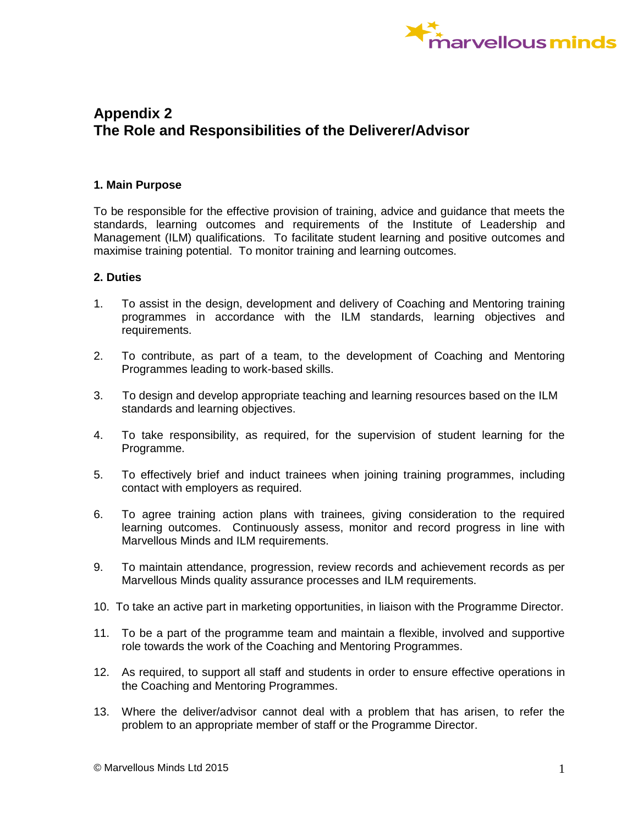

## **Appendix 2 The Role and Responsibilities of the Deliverer/Advisor**

## **1. Main Purpose**

To be responsible for the effective provision of training, advice and guidance that meets the standards, learning outcomes and requirements of the Institute of Leadership and Management (ILM) qualifications. To facilitate student learning and positive outcomes and maximise training potential. To monitor training and learning outcomes.

## **2. Duties**

- 1. To assist in the design, development and delivery of Coaching and Mentoring training programmes in accordance with the ILM standards, learning objectives and requirements.
- 2. To contribute, as part of a team, to the development of Coaching and Mentoring Programmes leading to work-based skills.
- 3. To design and develop appropriate teaching and learning resources based on the ILM standards and learning objectives.
- 4. To take responsibility, as required, for the supervision of student learning for the Programme.
- 5. To effectively brief and induct trainees when joining training programmes, including contact with employers as required.
- 6. To agree training action plans with trainees, giving consideration to the required learning outcomes. Continuously assess, monitor and record progress in line with Marvellous Minds and ILM requirements.
- 9. To maintain attendance, progression, review records and achievement records as per Marvellous Minds quality assurance processes and ILM requirements.
- 10. To take an active part in marketing opportunities, in liaison with the Programme Director.
- 11. To be a part of the programme team and maintain a flexible, involved and supportive role towards the work of the Coaching and Mentoring Programmes.
- 12. As required, to support all staff and students in order to ensure effective operations in the Coaching and Mentoring Programmes.
- 13. Where the deliver/advisor cannot deal with a problem that has arisen, to refer the problem to an appropriate member of staff or the Programme Director.